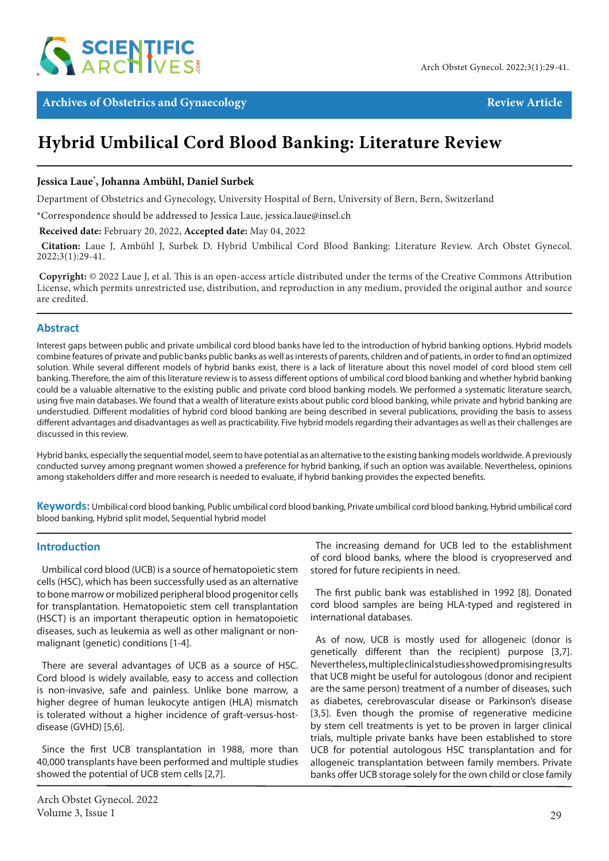

**Archives of Obstetrics and Gynaecology Review Article** Review Article

# **Hybrid Umbilical Cord Blood Banking: Literature Review**

## **Jessica Laue\* , Johanna Ambühl, Daniel Surbek**

Department of Obstetrics and Gynecology, University Hospital of Bern, University of Bern, Bern, Switzerland

\*Correspondence should be addressed to Jessica Laue, jessica.laue@insel.ch

 **Received date:** February 20, 2022, **Accepted date:** May 04, 2022

**Citation:** Laue J, Ambühl J, Surbek D. Hybrid Umbilical Cord Blood Banking: Literature Review. Arch Obstet Gynecol. 2022;3(1):29-41.

**Copyright:** © 2022 Laue J, et al. This is an open-access article distributed under the terms of the Creative Commons Attribution License, which permits unrestricted use, distribution, and reproduction in any medium, provided the original author and source are credited.

#### **Abstract**

Interest gaps between public and private umbilical cord blood banks have led to the introduction of hybrid banking options. Hybrid models combine features of private and public banks public banks as well as interests of parents, children and of patients, in order to find an optimized solution. While several different models of hybrid banks exist, there is a lack of literature about this novel model of cord blood stem cell banking. Therefore, the aim of this literature review is to assess different options of umbilical cord blood banking and whether hybrid banking could be a valuable alternative to the existing public and private cord blood banking models. We performed a systematic literature search, using five main databases. We found that a wealth of literature exists about public cord blood banking, while private and hybrid banking are understudied. Different modalities of hybrid cord blood banking are being described in several publications, providing the basis to assess different advantages and disadvantages as well as practicability. Five hybrid models regarding their advantages as well as their challenges are discussed in this review.

Hybrid banks, especially the sequential model, seem to have potential as an alternative to the existing banking models worldwide. A previously conducted survey among pregnant women showed a preference for hybrid banking, if such an option was available. Nevertheless, opinions among stakeholders differ and more research is needed to evaluate, if hybrid banking provides the expected benefits.

**Keywords:** Umbilical cord blood banking, Public umbilical cord blood banking, Private umbilical cord blood banking, Hybrid umbilical cord blood banking, Hybrid split model, Sequential hybrid model

#### **Introduction**

Umbilical cord blood (UCB) is a source of hematopoietic stem cells (HSC), which has been successfully used as an alternative to bone marrow or mobilized peripheral blood progenitor cells for transplantation. Hematopoietic stem cell transplantation (HSCT) is an important therapeutic option in hematopoietic diseases, such as leukemia as well as other malignant or nonmalignant (genetic) conditions [1-4].

There are several advantages of UCB as a source of HSC. Cord blood is widely available, easy to access and collection is non-invasive, safe and painless. Unlike bone marrow, a higher degree of human leukocyte antigen (HLA) mismatch is tolerated without a higher incidence of graft-versus-hostdisease (GVHD) [5,6].

Since the first UCB transplantation in 1988, more than 40,000 transplants have been performed and multiple studies showed the potential of UCB stem cells [2,7].

The increasing demand for UCB led to the establishment of cord blood banks, where the blood is cryopreserved and stored for future recipients in need.

The first public bank was established in 1992 [8]. Donated cord blood samples are being HLA-typed and registered in international databases.

As of now, UCB is mostly used for allogeneic (donor is genetically different than the recipient) purpose [3,7]. Nevertheless, multiple clinical studies showed promising results that UCB might be useful for autologous (donor and recipient are the same person) treatment of a number of diseases, such as diabetes, cerebrovascular disease or Parkinson's disease [3,5]. Even though the promise of regenerative medicine by stem cell treatments is yet to be proven in larger clinical trials, multiple private banks have been established to store UCB for potential autologous HSC transplantation and for allogeneic transplantation between family members. Private banks offer UCB storage solely for the own child or close family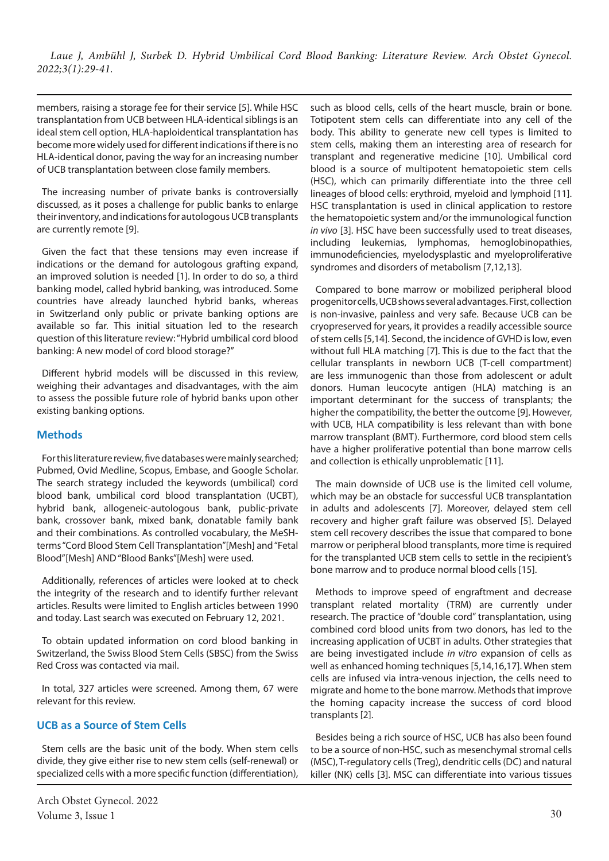members, raising a storage fee for their service [5]. While HSC transplantation from UCB between HLA-identical siblings is an ideal stem cell option, HLA-haploidentical transplantation has become more widely used for different indications if there is no HLA-identical donor, paving the way for an increasing number of UCB transplantation between close family members.

The increasing number of private banks is controversially discussed, as it poses a challenge for public banks to enlarge their inventory, and indications for autologous UCB transplants are currently remote [9].

Given the fact that these tensions may even increase if indications or the demand for autologous grafting expand, an improved solution is needed [1]. In order to do so, a third banking model, called hybrid banking, was introduced. Some countries have already launched hybrid banks, whereas in Switzerland only public or private banking options are available so far. This initial situation led to the research question of this literature review: "Hybrid umbilical cord blood banking: A new model of cord blood storage?"

Different hybrid models will be discussed in this review, weighing their advantages and disadvantages, with the aim to assess the possible future role of hybrid banks upon other existing banking options.

## **Methods**

For this literature review, five databases were mainly searched; Pubmed, Ovid Medline, Scopus, Embase, and Google Scholar. The search strategy included the keywords (umbilical) cord blood bank, umbilical cord blood transplantation (UCBT), hybrid bank, allogeneic-autologous bank, public-private bank, crossover bank, mixed bank, donatable family bank and their combinations. As controlled vocabulary, the MeSHterms "Cord Blood Stem Cell Transplantation"[Mesh] and "Fetal Blood"[Mesh] AND "Blood Banks"[Mesh] were used.

Additionally, references of articles were looked at to check the integrity of the research and to identify further relevant articles. Results were limited to English articles between 1990 and today. Last search was executed on February 12, 2021.

To obtain updated information on cord blood banking in Switzerland, the Swiss Blood Stem Cells (SBSC) from the Swiss Red Cross was contacted via mail.

In total, 327 articles were screened. Among them, 67 were relevant for this review.

## **UCB as a Source of Stem Cells**

Stem cells are the basic unit of the body. When stem cells divide, they give either rise to new stem cells (self-renewal) or specialized cells with a more specific function (differentiation),

such as blood cells, cells of the heart muscle, brain or bone. Totipotent stem cells can differentiate into any cell of the body. This ability to generate new cell types is limited to stem cells, making them an interesting area of research for transplant and regenerative medicine [10]. Umbilical cord blood is a source of multipotent hematopoietic stem cells (HSC), which can primarily differentiate into the three cell lineages of blood cells: erythroid, myeloid and lymphoid [11]. HSC transplantation is used in clinical application to restore the hematopoietic system and/or the immunological function *in vivo* [3]. HSC have been successfully used to treat diseases, including leukemias, lymphomas, hemoglobinopathies, immunodeficiencies, myelodysplastic and myeloproliferative syndromes and disorders of metabolism [7,12,13].

Compared to bone marrow or mobilized peripheral blood progenitor cells, UCB shows several advantages. First, collection is non-invasive, painless and very safe. Because UCB can be cryopreserved for years, it provides a readily accessible source of stem cells [5,14]. Second, the incidence of GVHD is low, even without full HLA matching [7]. This is due to the fact that the cellular transplants in newborn UCB (T-cell compartment) are less immunogenic than those from adolescent or adult donors. Human leucocyte antigen (HLA) matching is an important determinant for the success of transplants; the higher the compatibility, the better the outcome [9]. However, with UCB, HLA compatibility is less relevant than with bone marrow transplant (BMT). Furthermore, cord blood stem cells have a higher proliferative potential than bone marrow cells and collection is ethically unproblematic [11].

The main downside of UCB use is the limited cell volume, which may be an obstacle for successful UCB transplantation in adults and adolescents [7]. Moreover, delayed stem cell recovery and higher graft failure was observed [5]. Delayed stem cell recovery describes the issue that compared to bone marrow or peripheral blood transplants, more time is required for the transplanted UCB stem cells to settle in the recipient's bone marrow and to produce normal blood cells [15].

Methods to improve speed of engraftment and decrease transplant related mortality (TRM) are currently under research. The practice of "double cord" transplantation, using combined cord blood units from two donors, has led to the increasing application of UCBT in adults. Other strategies that are being investigated include *in vitro* expansion of cells as well as enhanced homing techniques [5,14,16,17]. When stem cells are infused via intra-venous injection, the cells need to migrate and home to the bone marrow. Methods that improve the homing capacity increase the success of cord blood transplants [2].

Besides being a rich source of HSC, UCB has also been found to be a source of non-HSC, such as mesenchymal stromal cells (MSC), T-regulatory cells (Treg), dendritic cells (DC) and natural killer (NK) cells [3]. MSC can differentiate into various tissues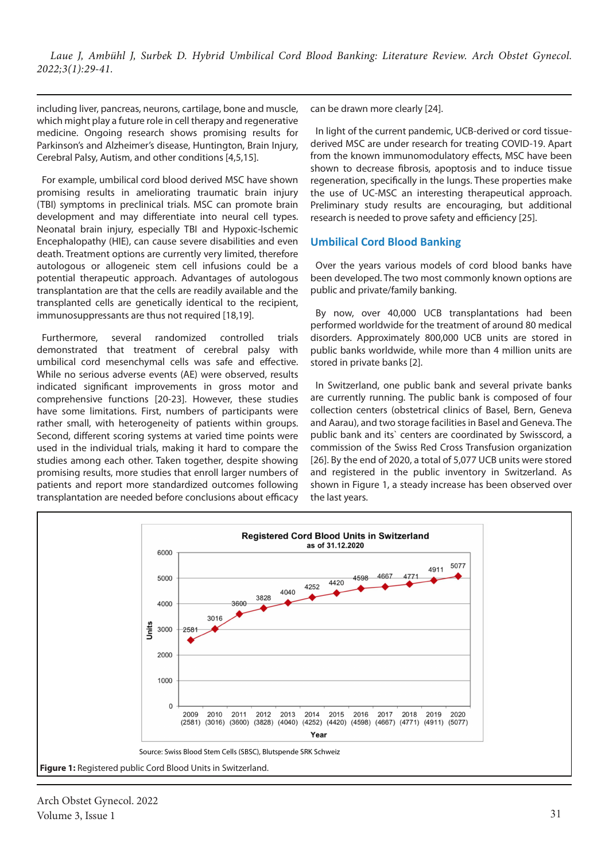including liver, pancreas, neurons, cartilage, bone and muscle, which might play a future role in cell therapy and regenerative medicine. Ongoing research shows promising results for Parkinson's and Alzheimer's disease, Huntington, Brain Injury, Cerebral Palsy, Autism, and other conditions [4,5,15].

For example, umbilical cord blood derived MSC have shown promising results in ameliorating traumatic brain injury (TBI) symptoms in preclinical trials. MSC can promote brain development and may differentiate into neural cell types. Neonatal brain injury, especially TBI and Hypoxic-Ischemic Encephalopathy (HIE), can cause severe disabilities and even death. Treatment options are currently very limited, therefore autologous or allogeneic stem cell infusions could be a potential therapeutic approach. Advantages of autologous transplantation are that the cells are readily available and the transplanted cells are genetically identical to the recipient, immunosuppressants are thus not required [18,19].

Furthermore, several randomized controlled trials demonstrated that treatment of cerebral palsy with umbilical cord mesenchymal cells was safe and effective. While no serious adverse events (AE) were observed, results indicated significant improvements in gross motor and comprehensive functions [20-23]. However, these studies have some limitations. First, numbers of participants were rather small, with heterogeneity of patients within groups. Second, different scoring systems at varied time points were used in the individual trials, making it hard to compare the studies among each other. Taken together, despite showing promising results, more studies that enroll larger numbers of patients and report more standardized outcomes following transplantation are needed before conclusions about efficacy can be drawn more clearly [24].

In light of the current pandemic, UCB-derived or cord tissuederived MSC are under research for treating COVID-19. Apart from the known immunomodulatory effects, MSC have been shown to decrease fibrosis, apoptosis and to induce tissue regeneration, specifically in the lungs. These properties make the use of UC-MSC an interesting therapeutical approach. Preliminary study results are encouraging, but additional research is needed to prove safety and efficiency [25].

## **Umbilical Cord Blood Banking**

Over the years various models of cord blood banks have been developed. The two most commonly known options are public and private/family banking.

By now, over 40,000 UCB transplantations had been performed worldwide for the treatment of around 80 medical disorders. Approximately 800,000 UCB units are stored in public banks worldwide, while more than 4 million units are stored in private banks [2].

In Switzerland, one public bank and several private banks are currently running. The public bank is composed of four collection centers (obstetrical clinics of Basel, Bern, Geneva and Aarau), and two storage facilities in Basel and Geneva. The public bank and its` centers are coordinated by Swisscord, a commission of the Swiss Red Cross Transfusion organization [26]. By the end of 2020, a total of 5,077 UCB units were stored and registered in the public inventory in Switzerland. As shown in Figure 1, a steady increase has been observed over the last years.



Arch Obstet Gynecol. 2022 Volume 3, Issue 1  $31$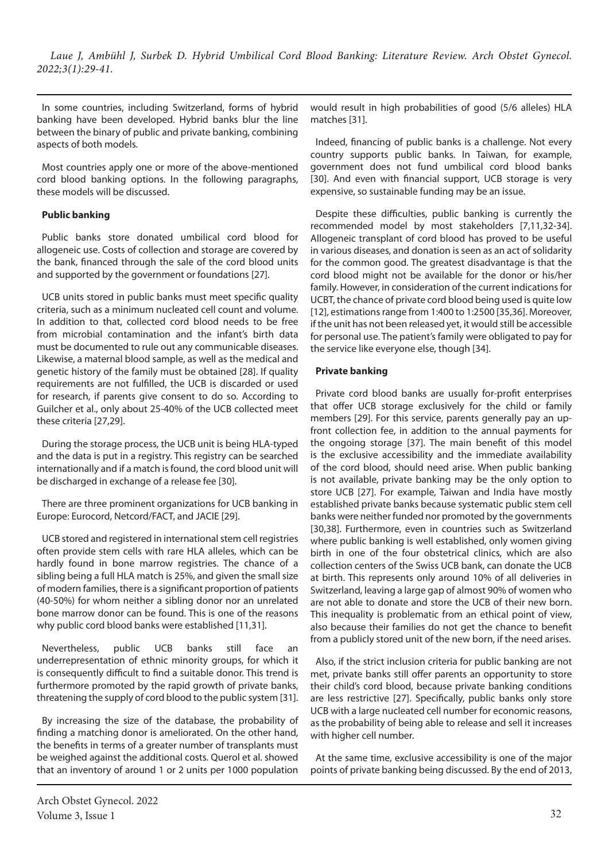In some countries, including Switzerland, forms of hybrid banking have been developed. Hybrid banks blur the line between the binary of public and private banking, combining aspects of both models.

Most countries apply one or more of the above-mentioned cord blood banking options. In the following paragraphs, these models will be discussed.

## **Public banking**

Public banks store donated umbilical cord blood for allogeneic use. Costs of collection and storage are covered by the bank, financed through the sale of the cord blood units and supported by the government or foundations [27].

UCB units stored in public banks must meet specific quality criteria, such as a minimum nucleated cell count and volume. In addition to that, collected cord blood needs to be free from microbial contamination and the infant's birth data must be documented to rule out any communicable diseases. Likewise, a maternal blood sample, as well as the medical and genetic history of the family must be obtained [28]. If quality requirements are not fulfilled, the UCB is discarded or used for research, if parents give consent to do so. According to Guilcher et al., only about 25-40% of the UCB collected meet these criteria [27,29].

During the storage process, the UCB unit is being HLA-typed and the data is put in a registry. This registry can be searched internationally and if a match is found, the cord blood unit will be discharged in exchange of a release fee [30].

There are three prominent organizations for UCB banking in Europe: Eurocord, Netcord/FACT, and JACIE [29].

UCB stored and registered in international stem cell registries often provide stem cells with rare HLA alleles, which can be hardly found in bone marrow registries. The chance of a sibling being a full HLA match is 25%, and given the small size of modern families, there is a significant proportion of patients (40-50%) for whom neither a sibling donor nor an unrelated bone marrow donor can be found. This is one of the reasons why public cord blood banks were established [11,31].

Nevertheless, public UCB banks still face an underrepresentation of ethnic minority groups, for which it is consequently difficult to find a suitable donor. This trend is furthermore promoted by the rapid growth of private banks, threatening the supply of cord blood to the public system [31].

By increasing the size of the database, the probability of finding a matching donor is ameliorated. On the other hand, the benefits in terms of a greater number of transplants must be weighed against the additional costs. Querol et al. showed that an inventory of around 1 or 2 units per 1000 population would result in high probabilities of good (5/6 alleles) HLA matches [31].

Indeed, financing of public banks is a challenge. Not every country supports public banks. In Taiwan, for example, government does not fund umbilical cord blood banks [30]. And even with financial support, UCB storage is very expensive, so sustainable funding may be an issue.

Despite these difficulties, public banking is currently the recommended model by most stakeholders [7,11,32-34]. Allogeneic transplant of cord blood has proved to be useful in various diseases, and donation is seen as an act of solidarity for the common good. The greatest disadvantage is that the cord blood might not be available for the donor or his/her family. However, in consideration of the current indications for UCBT, the chance of private cord blood being used is quite low [12], estimations range from 1:400 to 1:2500 [35,36]. Moreover, if the unit has not been released yet, it would still be accessible for personal use. The patient's family were obligated to pay for the service like everyone else, though [34].

## **Private banking**

Private cord blood banks are usually for-profit enterprises that offer UCB storage exclusively for the child or family members [29]. For this service, parents generally pay an upfront collection fee, in addition to the annual payments for the ongoing storage [37]. The main benefit of this model is the exclusive accessibility and the immediate availability of the cord blood, should need arise. When public banking is not available, private banking may be the only option to store UCB [27]. For example, Taiwan and India have mostly established private banks because systematic public stem cell banks were neither funded nor promoted by the governments [30,38]. Furthermore, even in countries such as Switzerland where public banking is well established, only women giving birth in one of the four obstetrical clinics, which are also collection centers of the Swiss UCB bank, can donate the UCB at birth. This represents only around 10% of all deliveries in Switzerland, leaving a large gap of almost 90% of women who are not able to donate and store the UCB of their new born. This inequality is problematic from an ethical point of view, also because their families do not get the chance to benefit from a publicly stored unit of the new born, if the need arises.

Also, if the strict inclusion criteria for public banking are not met, private banks still offer parents an opportunity to store their child's cord blood, because private banking conditions are less restrictive [27]. Specifically, public banks only store UCB with a large nucleated cell number for economic reasons, as the probability of being able to release and sell it increases with higher cell number.

At the same time, exclusive accessibility is one of the major points of private banking being discussed. By the end of 2013,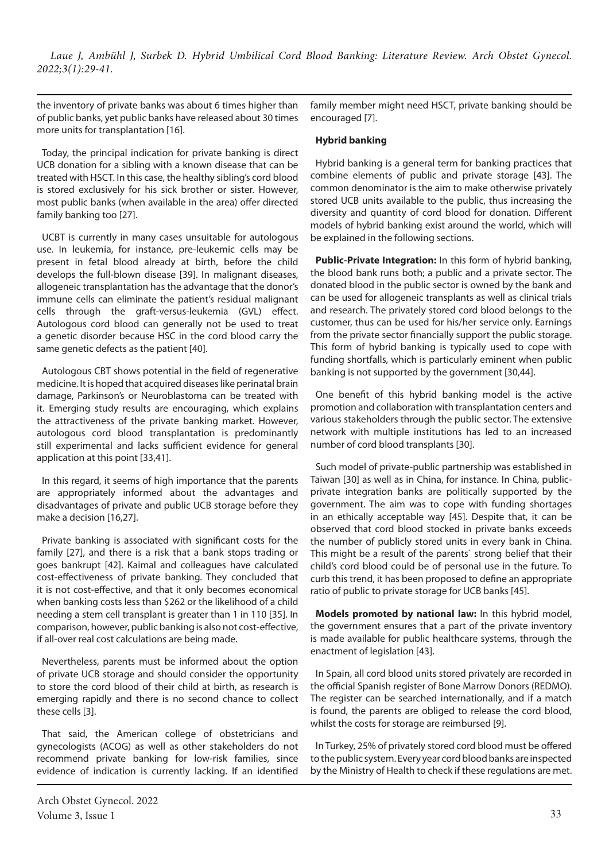the inventory of private banks was about 6 times higher than of public banks, yet public banks have released about 30 times more units for transplantation [16].

Today, the principal indication for private banking is direct UCB donation for a sibling with a known disease that can be treated with HSCT. In this case, the healthy sibling's cord blood is stored exclusively for his sick brother or sister. However, most public banks (when available in the area) offer directed family banking too [27].

UCBT is currently in many cases unsuitable for autologous use. In leukemia, for instance, pre-leukemic cells may be present in fetal blood already at birth, before the child develops the full-blown disease [39]. In malignant diseases, allogeneic transplantation has the advantage that the donor's immune cells can eliminate the patient's residual malignant cells through the graft-versus-leukemia (GVL) effect. Autologous cord blood can generally not be used to treat a genetic disorder because HSC in the cord blood carry the same genetic defects as the patient [40].

Autologous CBT shows potential in the field of regenerative medicine. It is hoped that acquired diseases like perinatal brain damage, Parkinson's or Neuroblastoma can be treated with it. Emerging study results are encouraging, which explains the attractiveness of the private banking market. However, autologous cord blood transplantation is predominantly still experimental and lacks sufficient evidence for general application at this point [33,41].

In this regard, it seems of high importance that the parents are appropriately informed about the advantages and disadvantages of private and public UCB storage before they make a decision [16,27].

Private banking is associated with significant costs for the family [27], and there is a risk that a bank stops trading or goes bankrupt [42]. Kaimal and colleagues have calculated cost-effectiveness of private banking. They concluded that it is not cost-effective, and that it only becomes economical when banking costs less than \$262 or the likelihood of a child needing a stem cell transplant is greater than 1 in 110 [35]. In comparison, however, public banking is also not cost-effective, if all-over real cost calculations are being made.

Nevertheless, parents must be informed about the option of private UCB storage and should consider the opportunity to store the cord blood of their child at birth, as research is emerging rapidly and there is no second chance to collect these cells [3].

That said, the American college of obstetricians and gynecologists (ACOG) as well as other stakeholders do not recommend private banking for low-risk families, since evidence of indication is currently lacking. If an identified

family member might need HSCT, private banking should be encouraged [7].

#### **Hybrid banking**

Hybrid banking is a general term for banking practices that combine elements of public and private storage [43]. The common denominator is the aim to make otherwise privately stored UCB units available to the public, thus increasing the diversity and quantity of cord blood for donation. Different models of hybrid banking exist around the world, which will be explained in the following sections.

**Public-Private Integration:** In this form of hybrid banking, the blood bank runs both; a public and a private sector. The donated blood in the public sector is owned by the bank and can be used for allogeneic transplants as well as clinical trials and research. The privately stored cord blood belongs to the customer, thus can be used for his/her service only. Earnings from the private sector financially support the public storage. This form of hybrid banking is typically used to cope with funding shortfalls, which is particularly eminent when public banking is not supported by the government [30,44].

One benefit of this hybrid banking model is the active promotion and collaboration with transplantation centers and various stakeholders through the public sector. The extensive network with multiple institutions has led to an increased number of cord blood transplants [30].

Such model of private-public partnership was established in Taiwan [30] as well as in China, for instance. In China, publicprivate integration banks are politically supported by the government. The aim was to cope with funding shortages in an ethically acceptable way [45]. Despite that, it can be observed that cord blood stocked in private banks exceeds the number of publicly stored units in every bank in China. This might be a result of the parents` strong belief that their child's cord blood could be of personal use in the future. To curb this trend, it has been proposed to define an appropriate ratio of public to private storage for UCB banks [45].

**Models promoted by national law:** In this hybrid model, the government ensures that a part of the private inventory is made available for public healthcare systems, through the enactment of legislation [43].

In Spain, all cord blood units stored privately are recorded in the official Spanish register of Bone Marrow Donors (REDMO). The register can be searched internationally, and if a match is found, the parents are obliged to release the cord blood, whilst the costs for storage are reimbursed [9].

In Turkey, 25% of privately stored cord blood must be offered to the public system. Every year cord blood banks are inspected by the Ministry of Health to check if these regulations are met.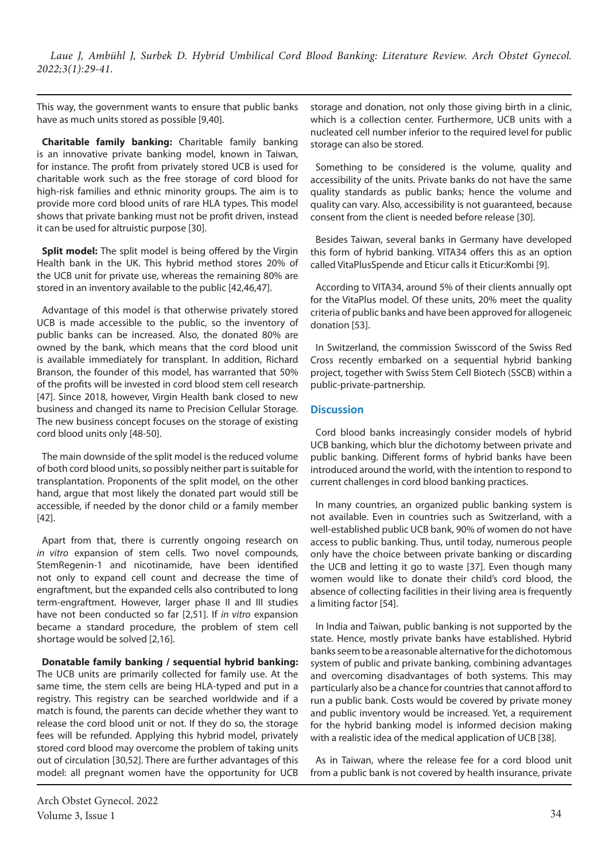This way, the government wants to ensure that public banks have as much units stored as possible [9,40].

**Charitable family banking:** Charitable family banking is an innovative private banking model, known in Taiwan, for instance. The profit from privately stored UCB is used for charitable work such as the free storage of cord blood for high-risk families and ethnic minority groups. The aim is to provide more cord blood units of rare HLA types. This model shows that private banking must not be profit driven, instead it can be used for altruistic purpose [30].

**Split model:** The split model is being offered by the Virgin Health bank in the UK. This hybrid method stores 20% of the UCB unit for private use, whereas the remaining 80% are stored in an inventory available to the public [42,46,47].

Advantage of this model is that otherwise privately stored UCB is made accessible to the public, so the inventory of public banks can be increased. Also, the donated 80% are owned by the bank, which means that the cord blood unit is available immediately for transplant. In addition, Richard Branson, the founder of this model, has warranted that 50% of the profits will be invested in cord blood stem cell research [47]. Since 2018, however, Virgin Health bank closed to new business and changed its name to Precision Cellular Storage. The new business concept focuses on the storage of existing cord blood units only [48-50].

The main downside of the split model is the reduced volume of both cord blood units, so possibly neither part is suitable for transplantation. Proponents of the split model, on the other hand, argue that most likely the donated part would still be accessible, if needed by the donor child or a family member [42].

Apart from that, there is currently ongoing research on *in vitro* expansion of stem cells. Two novel compounds, StemRegenin-1 and nicotinamide, have been identified not only to expand cell count and decrease the time of engraftment, but the expanded cells also contributed to long term-engraftment. However, larger phase II and III studies have not been conducted so far [2,51]. If *in vitro* expansion became a standard procedure, the problem of stem cell shortage would be solved [2,16].

**Donatable family banking / sequential hybrid banking:**  The UCB units are primarily collected for family use. At the same time, the stem cells are being HLA-typed and put in a registry. This registry can be searched worldwide and if a match is found, the parents can decide whether they want to release the cord blood unit or not. If they do so, the storage fees will be refunded. Applying this hybrid model, privately stored cord blood may overcome the problem of taking units out of circulation [30,52]. There are further advantages of this model: all pregnant women have the opportunity for UCB storage and donation, not only those giving birth in a clinic, which is a collection center. Furthermore, UCB units with a nucleated cell number inferior to the required level for public storage can also be stored.

Something to be considered is the volume, quality and accessibility of the units. Private banks do not have the same quality standards as public banks; hence the volume and quality can vary. Also, accessibility is not guaranteed, because consent from the client is needed before release [30].

Besides Taiwan, several banks in Germany have developed this form of hybrid banking. VITA34 offers this as an option called VitaPlusSpende and Eticur calls it Eticur:Kombi [9].

According to VITA34, around 5% of their clients annually opt for the VitaPlus model. Of these units, 20% meet the quality criteria of public banks and have been approved for allogeneic donation [53].

In Switzerland, the commission Swisscord of the Swiss Red Cross recently embarked on a sequential hybrid banking project, together with Swiss Stem Cell Biotech (SSCB) within a public-private-partnership.

## **Discussion**

Cord blood banks increasingly consider models of hybrid UCB banking, which blur the dichotomy between private and public banking. Different forms of hybrid banks have been introduced around the world, with the intention to respond to current challenges in cord blood banking practices.

In many countries, an organized public banking system is not available. Even in countries such as Switzerland, with a well-established public UCB bank, 90% of women do not have access to public banking. Thus, until today, numerous people only have the choice between private banking or discarding the UCB and letting it go to waste [37]. Even though many women would like to donate their child's cord blood, the absence of collecting facilities in their living area is frequently a limiting factor [54].

In India and Taiwan, public banking is not supported by the state. Hence, mostly private banks have established. Hybrid banks seem to be a reasonable alternative for the dichotomous system of public and private banking, combining advantages and overcoming disadvantages of both systems. This may particularly also be a chance for countries that cannot afford to run a public bank. Costs would be covered by private money and public inventory would be increased. Yet, a requirement for the hybrid banking model is informed decision making with a realistic idea of the medical application of UCB [38].

As in Taiwan, where the release fee for a cord blood unit from a public bank is not covered by health insurance, private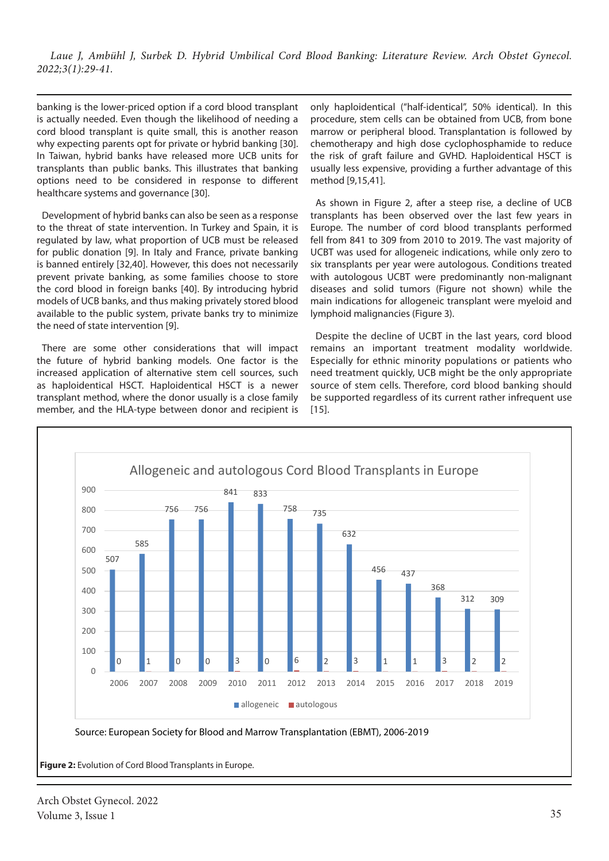banking is the lower-priced option if a cord blood transplant is actually needed. Even though the likelihood of needing a cord blood transplant is quite small, this is another reason why expecting parents opt for private or hybrid banking [30]. In Taiwan, hybrid banks have released more UCB units for transplants than public banks. This illustrates that banking options need to be considered in response to different healthcare systems and governance [30].

Development of hybrid banks can also be seen as a response to the threat of state intervention. In Turkey and Spain, it is regulated by law, what proportion of UCB must be released for public donation [9]. In Italy and France, private banking is banned entirely [32,40]. However, this does not necessarily prevent private banking, as some families choose to store the cord blood in foreign banks [40]. By introducing hybrid models of UCB banks, and thus making privately stored blood available to the public system, private banks try to minimize the need of state intervention [9].

There are some other considerations that will impact the future of hybrid banking models. One factor is the increased application of alternative stem cell sources, such as haploidentical HSCT. Haploidentical HSCT is a newer transplant method, where the donor usually is a close family member, and the HLA-type between donor and recipient is only haploidentical ("half-identical", 50% identical). In this procedure, stem cells can be obtained from UCB, from bone marrow or peripheral blood. Transplantation is followed by chemotherapy and high dose cyclophosphamide to reduce the risk of graft failure and GVHD. Haploidentical HSCT is usually less expensive, providing a further advantage of this method [9,15,41].

As shown in Figure 2, after a steep rise, a decline of UCB transplants has been observed over the last few years in Europe. The number of cord blood transplants performed fell from 841 to 309 from 2010 to 2019. The vast majority of UCBT was used for allogeneic indications, while only zero to six transplants per year were autologous. Conditions treated with autologous UCBT were predominantly non-malignant diseases and solid tumors (Figure not shown) while the main indications for allogeneic transplant were myeloid and lymphoid malignancies (Figure 3).

Despite the decline of UCBT in the last years, cord blood remains an important treatment modality worldwide. Especially for ethnic minority populations or patients who need treatment quickly, UCB might be the only appropriate source of stem cells. Therefore, cord blood banking should be supported regardless of its current rather infrequent use [15].



**Figure 2:** Evolution of Cord Blood Transplants in Europe.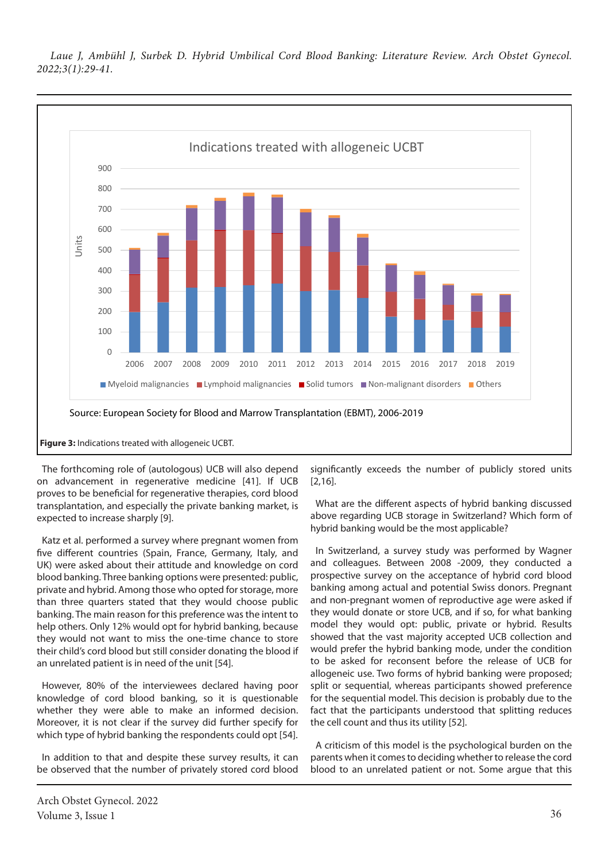

The forthcoming role of (autologous) UCB will also depend on advancement in regenerative medicine [41]. If UCB proves to be beneficial for regenerative therapies, cord blood transplantation, and especially the private banking market, is expected to increase sharply [9].

Katz et al. performed a survey where pregnant women from five different countries (Spain, France, Germany, Italy, and UK) were asked about their attitude and knowledge on cord blood banking. Three banking options were presented: public, private and hybrid. Among those who opted for storage, more than three quarters stated that they would choose public banking. The main reason for this preference was the intent to help others. Only 12% would opt for hybrid banking, because they would not want to miss the one-time chance to store their child's cord blood but still consider donating the blood if an unrelated patient is in need of the unit [54].

However, 80% of the interviewees declared having poor knowledge of cord blood banking, so it is questionable whether they were able to make an informed decision. Moreover, it is not clear if the survey did further specify for which type of hybrid banking the respondents could opt [54].

In addition to that and despite these survey results, it can be observed that the number of privately stored cord blood

Arch Obstet Gynecol. 2022 Volume 3, Issue 1 36

significantly exceeds the number of publicly stored units [2,16].

What are the different aspects of hybrid banking discussed above regarding UCB storage in Switzerland? Which form of hybrid banking would be the most applicable?

In Switzerland, a survey study was performed by Wagner and colleagues. Between 2008 -2009, they conducted a prospective survey on the acceptance of hybrid cord blood banking among actual and potential Swiss donors. Pregnant and non-pregnant women of reproductive age were asked if they would donate or store UCB, and if so, for what banking model they would opt: public, private or hybrid. Results showed that the vast majority accepted UCB collection and would prefer the hybrid banking mode, under the condition to be asked for reconsent before the release of UCB for allogeneic use. Two forms of hybrid banking were proposed; split or sequential, whereas participants showed preference for the sequential model. This decision is probably due to the fact that the participants understood that splitting reduces the cell count and thus its utility [52].

A criticism of this model is the psychological burden on the parents when it comes to deciding whether to release the cord blood to an unrelated patient or not. Some argue that this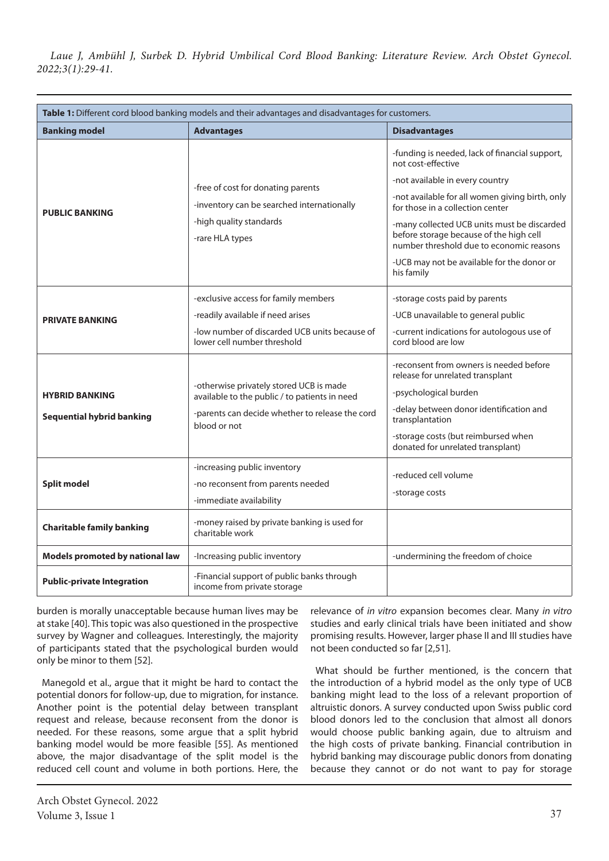| Table 1: Different cord blood banking models and their advantages and disadvantages for customers. |                                                                                                                                                             |                                                                                                                                                                                                                                                                                                                                                                                                  |
|----------------------------------------------------------------------------------------------------|-------------------------------------------------------------------------------------------------------------------------------------------------------------|--------------------------------------------------------------------------------------------------------------------------------------------------------------------------------------------------------------------------------------------------------------------------------------------------------------------------------------------------------------------------------------------------|
| <b>Banking model</b>                                                                               | <b>Advantages</b>                                                                                                                                           | <b>Disadvantages</b>                                                                                                                                                                                                                                                                                                                                                                             |
| <b>PUBLIC BANKING</b>                                                                              | -free of cost for donating parents<br>-inventory can be searched internationally<br>-high quality standards<br>-rare HLA types                              | -funding is needed, lack of financial support,<br>not cost-effective<br>-not available in every country<br>-not available for all women giving birth, only<br>for those in a collection center<br>-many collected UCB units must be discarded<br>before storage because of the high cell<br>number threshold due to economic reasons<br>-UCB may not be available for the donor or<br>his family |
| <b>PRIVATE BANKING</b>                                                                             | -exclusive access for family members<br>-readily available if need arises<br>-low number of discarded UCB units because of<br>lower cell number threshold   | -storage costs paid by parents<br>-UCB unavailable to general public<br>-current indications for autologous use of<br>cord blood are low                                                                                                                                                                                                                                                         |
| <b>HYBRID BANKING</b><br><b>Sequential hybrid banking</b>                                          | -otherwise privately stored UCB is made<br>available to the public / to patients in need<br>-parents can decide whether to release the cord<br>blood or not | -reconsent from owners is needed before<br>release for unrelated transplant<br>-psychological burden<br>-delay between donor identification and<br>transplantation<br>-storage costs (but reimbursed when<br>donated for unrelated transplant)                                                                                                                                                   |
| <b>Split model</b>                                                                                 | -increasing public inventory<br>-no reconsent from parents needed<br>-immediate availability                                                                | -reduced cell volume<br>-storage costs                                                                                                                                                                                                                                                                                                                                                           |
| <b>Charitable family banking</b>                                                                   | -money raised by private banking is used for<br>charitable work                                                                                             |                                                                                                                                                                                                                                                                                                                                                                                                  |
| Models promoted by national law                                                                    | -Increasing public inventory                                                                                                                                | -undermining the freedom of choice                                                                                                                                                                                                                                                                                                                                                               |
| <b>Public-private Integration</b>                                                                  | -Financial support of public banks through<br>income from private storage                                                                                   |                                                                                                                                                                                                                                                                                                                                                                                                  |

burden is morally unacceptable because human lives may be at stake [40]. This topic was also questioned in the prospective survey by Wagner and colleagues. Interestingly, the majority of participants stated that the psychological burden would only be minor to them [52].

Manegold et al., argue that it might be hard to contact the potential donors for follow-up, due to migration, for instance. Another point is the potential delay between transplant request and release, because reconsent from the donor is needed. For these reasons, some argue that a split hybrid banking model would be more feasible [55]. As mentioned above, the major disadvantage of the split model is the reduced cell count and volume in both portions. Here, the

relevance of *in vitro* expansion becomes clear. Many *in vitro* studies and early clinical trials have been initiated and show promising results. However, larger phase II and III studies have not been conducted so far [2,51].

What should be further mentioned, is the concern that the introduction of a hybrid model as the only type of UCB banking might lead to the loss of a relevant proportion of altruistic donors. A survey conducted upon Swiss public cord blood donors led to the conclusion that almost all donors would choose public banking again, due to altruism and the high costs of private banking. Financial contribution in hybrid banking may discourage public donors from donating because they cannot or do not want to pay for storage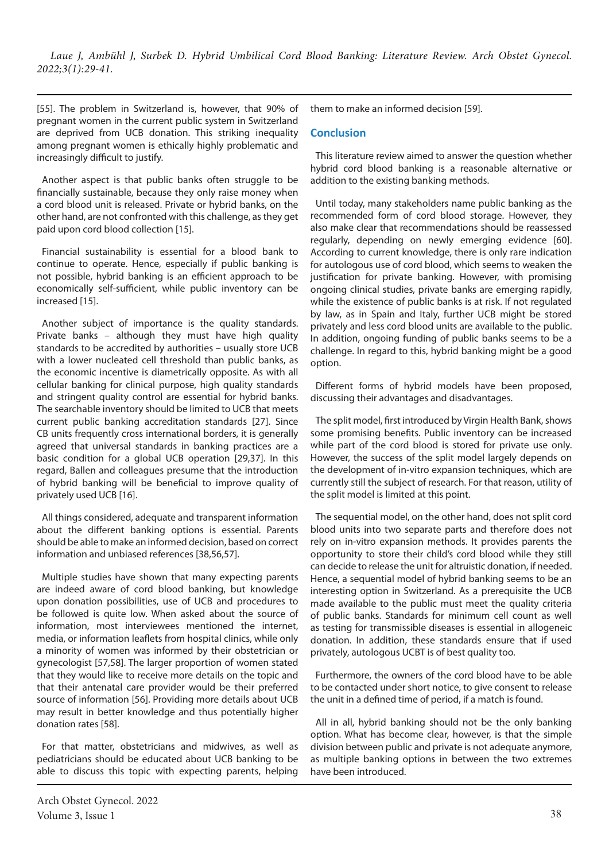[55]. The problem in Switzerland is, however, that 90% of pregnant women in the current public system in Switzerland are deprived from UCB donation. This striking inequality among pregnant women is ethically highly problematic and increasingly difficult to justify.

Another aspect is that public banks often struggle to be financially sustainable, because they only raise money when a cord blood unit is released. Private or hybrid banks, on the other hand, are not confronted with this challenge, as they get paid upon cord blood collection [15].

Financial sustainability is essential for a blood bank to continue to operate. Hence, especially if public banking is not possible, hybrid banking is an efficient approach to be economically self-sufficient, while public inventory can be increased [15].

Another subject of importance is the quality standards. Private banks – although they must have high quality standards to be accredited by authorities – usually store UCB with a lower nucleated cell threshold than public banks, as the economic incentive is diametrically opposite. As with all cellular banking for clinical purpose, high quality standards and stringent quality control are essential for hybrid banks. The searchable inventory should be limited to UCB that meets current public banking accreditation standards [27]. Since CB units frequently cross international borders, it is generally agreed that universal standards in banking practices are a basic condition for a global UCB operation [29,37]. In this regard, Ballen and colleagues presume that the introduction of hybrid banking will be beneficial to improve quality of privately used UCB [16].

All things considered, adequate and transparent information about the different banking options is essential. Parents should be able to make an informed decision, based on correct information and unbiased references [38,56,57].

Multiple studies have shown that many expecting parents are indeed aware of cord blood banking, but knowledge upon donation possibilities, use of UCB and procedures to be followed is quite low. When asked about the source of information, most interviewees mentioned the internet, media, or information leaflets from hospital clinics, while only a minority of women was informed by their obstetrician or gynecologist [57,58]. The larger proportion of women stated that they would like to receive more details on the topic and that their antenatal care provider would be their preferred source of information [56]. Providing more details about UCB may result in better knowledge and thus potentially higher donation rates [58].

For that matter, obstetricians and midwives, as well as pediatricians should be educated about UCB banking to be able to discuss this topic with expecting parents, helping them to make an informed decision [59].

#### **Conclusion**

This literature review aimed to answer the question whether hybrid cord blood banking is a reasonable alternative or addition to the existing banking methods.

Until today, many stakeholders name public banking as the recommended form of cord blood storage. However, they also make clear that recommendations should be reassessed regularly, depending on newly emerging evidence [60]. According to current knowledge, there is only rare indication for autologous use of cord blood, which seems to weaken the justification for private banking. However, with promising ongoing clinical studies, private banks are emerging rapidly, while the existence of public banks is at risk. If not regulated by law, as in Spain and Italy, further UCB might be stored privately and less cord blood units are available to the public. In addition, ongoing funding of public banks seems to be a challenge. In regard to this, hybrid banking might be a good option.

Different forms of hybrid models have been proposed, discussing their advantages and disadvantages.

The split model, first introduced by Virgin Health Bank, shows some promising benefits. Public inventory can be increased while part of the cord blood is stored for private use only. However, the success of the split model largely depends on the development of in-vitro expansion techniques, which are currently still the subject of research. For that reason, utility of the split model is limited at this point.

The sequential model, on the other hand, does not split cord blood units into two separate parts and therefore does not rely on in-vitro expansion methods. It provides parents the opportunity to store their child's cord blood while they still can decide to release the unit for altruistic donation, if needed. Hence, a sequential model of hybrid banking seems to be an interesting option in Switzerland. As a prerequisite the UCB made available to the public must meet the quality criteria of public banks. Standards for minimum cell count as well as testing for transmissible diseases is essential in allogeneic donation. In addition, these standards ensure that if used privately, autologous UCBT is of best quality too.

Furthermore, the owners of the cord blood have to be able to be contacted under short notice, to give consent to release the unit in a defined time of period, if a match is found.

All in all, hybrid banking should not be the only banking option. What has become clear, however, is that the simple division between public and private is not adequate anymore, as multiple banking options in between the two extremes have been introduced.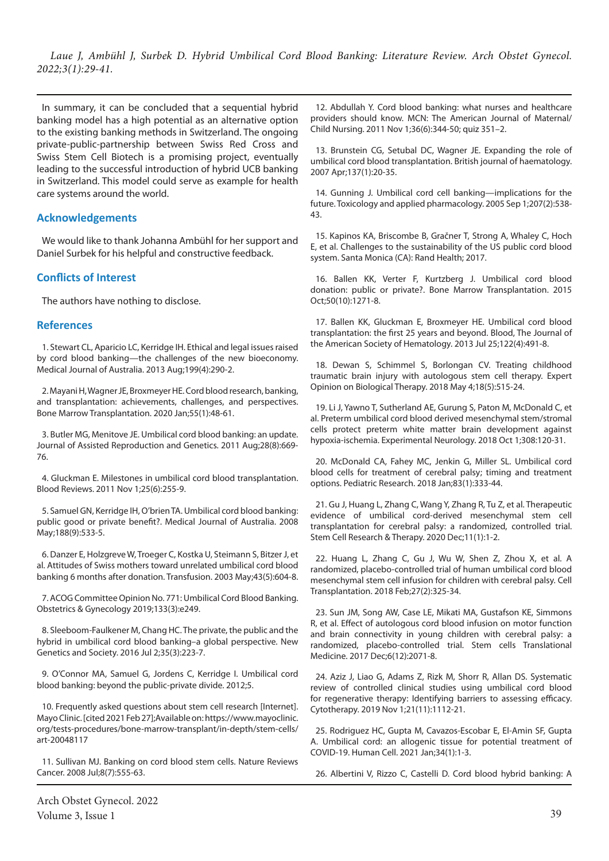In summary, it can be concluded that a sequential hybrid banking model has a high potential as an alternative option to the existing banking methods in Switzerland. The ongoing private-public-partnership between Swiss Red Cross and Swiss Stem Cell Biotech is a promising project, eventually leading to the successful introduction of hybrid UCB banking in Switzerland. This model could serve as example for health care systems around the world.

#### **Acknowledgements**

We would like to thank Johanna Ambühl for her support and Daniel Surbek for his helpful and constructive feedback.

## **Conflicts of Interest**

The authors have nothing to disclose.

#### **References**

1. Stewart CL, Aparicio LC, Kerridge IH. Ethical and legal issues raised by cord blood banking—the challenges of the new bioeconomy. Medical Journal of Australia. 2013 Aug;199(4):290-2.

2. Mayani H, Wagner JE, Broxmeyer HE. Cord blood research, banking, and transplantation: achievements, challenges, and perspectives. Bone Marrow Transplantation. 2020 Jan;55(1):48-61.

3. Butler MG, Menitove JE. Umbilical cord blood banking: an update. Journal of Assisted Reproduction and Genetics. 2011 Aug;28(8):669- 76.

4. Gluckman E. Milestones in umbilical cord blood transplantation. Blood Reviews. 2011 Nov 1;25(6):255-9.

5. Samuel GN, Kerridge IH, O'brien TA. Umbilical cord blood banking: public good or private benefit?. Medical Journal of Australia. 2008 May;188(9):533-5.

6. Danzer E, Holzgreve W, Troeger C, Kostka U, Steimann S, Bitzer J, et al. Attitudes of Swiss mothers toward unrelated umbilical cord blood banking 6 months after donation. Transfusion. 2003 May;43(5):604-8.

7. ACOG Committee Opinion No. 771: Umbilical Cord Blood Banking. Obstetrics & Gynecology 2019;133(3):e249.

8. Sleeboom-Faulkener M, Chang HC. The private, the public and the hybrid in umbilical cord blood banking–a global perspective. New Genetics and Society. 2016 Jul 2;35(3):223-7.

9. O'Connor MA, Samuel G, Jordens C, Kerridge I. Umbilical cord blood banking: beyond the public-private divide. 2012;5.

10. Frequently asked questions about stem cell research [Internet]. Mayo Clinic. [cited 2021 Feb 27];Available on: https://www.mayoclinic. org/tests-procedures/bone-marrow-transplant/in-depth/stem-cells/ art-20048117

11. Sullivan MJ. Banking on cord blood stem cells. Nature Reviews Cancer. 2008 Jul;8(7):555-63.

12. Abdullah Y. Cord blood banking: what nurses and healthcare providers should know. MCN: The American Journal of Maternal/ Child Nursing. 2011 Nov 1;36(6):344-50; quiz 351–2.

13. Brunstein CG, Setubal DC, Wagner JE. Expanding the role of umbilical cord blood transplantation. British journal of haematology. 2007 Apr;137(1):20-35.

14. Gunning J. Umbilical cord cell banking—implications for the future. Toxicology and applied pharmacology. 2005 Sep 1;207(2):538- 43.

15. Kapinos KA, Briscombe B, Gračner T, Strong A, Whaley C, Hoch E, et al. Challenges to the sustainability of the US public cord blood system. Santa Monica (CA): Rand Health; 2017.

16. Ballen KK, Verter F, Kurtzberg J. Umbilical cord blood donation: public or private?. Bone Marrow Transplantation. 2015 Oct;50(10):1271-8.

17. Ballen KK, Gluckman E, Broxmeyer HE. Umbilical cord blood transplantation: the first 25 years and beyond. Blood, The Journal of the American Society of Hematology. 2013 Jul 25;122(4):491-8.

18. Dewan S, Schimmel S, Borlongan CV. Treating childhood traumatic brain injury with autologous stem cell therapy. Expert Opinion on Biological Therapy. 2018 May 4;18(5):515-24.

19. Li J, Yawno T, Sutherland AE, Gurung S, Paton M, McDonald C, et al. Preterm umbilical cord blood derived mesenchymal stem/stromal cells protect preterm white matter brain development against hypoxia-ischemia. Experimental Neurology. 2018 Oct 1;308:120-31.

20. McDonald CA, Fahey MC, Jenkin G, Miller SL. Umbilical cord blood cells for treatment of cerebral palsy; timing and treatment options. Pediatric Research. 2018 Jan;83(1):333-44.

21. Gu J, Huang L, Zhang C, Wang Y, Zhang R, Tu Z, et al. Therapeutic evidence of umbilical cord-derived mesenchymal stem cell transplantation for cerebral palsy: a randomized, controlled trial. Stem Cell Research & Therapy. 2020 Dec;11(1):1-2.

22. Huang L, Zhang C, Gu J, Wu W, Shen Z, Zhou X, et al. A randomized, placebo-controlled trial of human umbilical cord blood mesenchymal stem cell infusion for children with cerebral palsy. Cell Transplantation. 2018 Feb;27(2):325-34.

23. Sun JM, Song AW, Case LE, Mikati MA, Gustafson KE, Simmons R, et al. Effect of autologous cord blood infusion on motor function and brain connectivity in young children with cerebral palsy: a randomized, placebo-controlled trial. Stem cells Translational Medicine. 2017 Dec;6(12):2071-8.

24. Aziz J, Liao G, Adams Z, Rizk M, Shorr R, Allan DS. Systematic review of controlled clinical studies using umbilical cord blood for regenerative therapy: Identifying barriers to assessing efficacy. Cytotherapy. 2019 Nov 1;21(11):1112-21.

25. Rodriguez HC, Gupta M, Cavazos-Escobar E, El-Amin SF, Gupta A. Umbilical cord: an allogenic tissue for potential treatment of COVID-19. Human Cell. 2021 Jan;34(1):1-3.

26. Albertini V, Rizzo C, Castelli D. Cord blood hybrid banking: A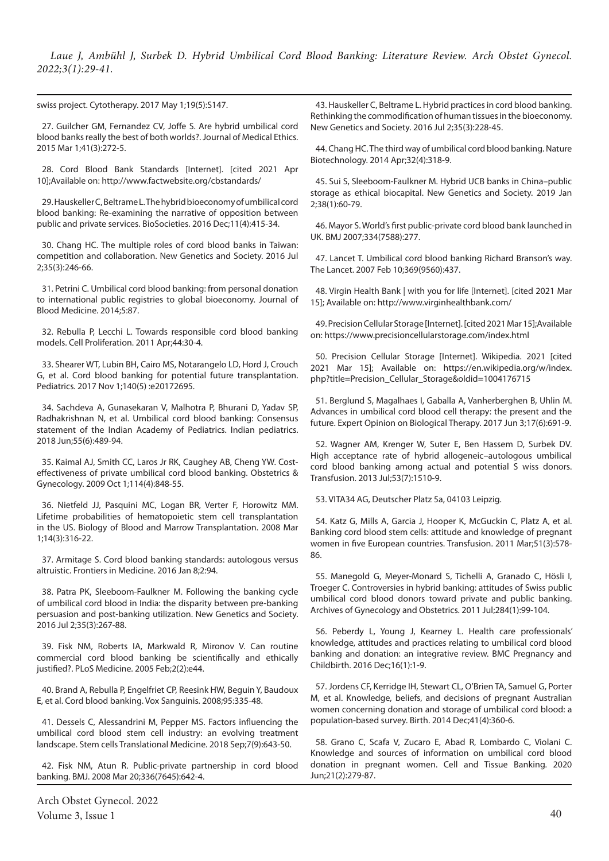swiss project. Cytotherapy. 2017 May 1;19(5):S147.

27. Guilcher GM, Fernandez CV, Joffe S. Are hybrid umbilical cord blood banks really the best of both worlds?. Journal of Medical Ethics. 2015 Mar 1;41(3):272-5.

28. Cord Blood Bank Standards [Internet]. [cited 2021 Apr 10];Available on: http://www.factwebsite.org/cbstandards/

29. Hauskeller C, Beltrame L. The hybrid bioeconomy of umbilical cord blood banking: Re-examining the narrative of opposition between public and private services. BioSocieties. 2016 Dec;11(4):415-34.

30. Chang HC. The multiple roles of cord blood banks in Taiwan: competition and collaboration. New Genetics and Society. 2016 Jul 2;35(3):246-66.

31. Petrini C. Umbilical cord blood banking: from personal donation to international public registries to global bioeconomy. Journal of Blood Medicine. 2014;5:87.

32. Rebulla P, Lecchi L. Towards responsible cord blood banking models. Cell Proliferation. 2011 Apr;44:30-4.

33. Shearer WT, Lubin BH, Cairo MS, Notarangelo LD, Hord J, Crouch G, et al. Cord blood banking for potential future transplantation. Pediatrics. 2017 Nov 1;140(5) :e20172695.

34. Sachdeva A, Gunasekaran V, Malhotra P, Bhurani D, Yadav SP, Radhakrishnan N, et al. Umbilical cord blood banking: Consensus statement of the Indian Academy of Pediatrics. Indian pediatrics. 2018 Jun;55(6):489-94.

35. Kaimal AJ, Smith CC, Laros Jr RK, Caughey AB, Cheng YW. Costeffectiveness of private umbilical cord blood banking. Obstetrics & Gynecology. 2009 Oct 1;114(4):848-55.

36. Nietfeld JJ, Pasquini MC, Logan BR, Verter F, Horowitz MM. Lifetime probabilities of hematopoietic stem cell transplantation in the US. Biology of Blood and Marrow Transplantation. 2008 Mar 1;14(3):316-22.

37. Armitage S. Cord blood banking standards: autologous versus altruistic. Frontiers in Medicine. 2016 Jan 8;2:94.

38. Patra PK, Sleeboom-Faulkner M. Following the banking cycle of umbilical cord blood in India: the disparity between pre-banking persuasion and post-banking utilization. New Genetics and Society. 2016 Jul 2;35(3):267-88.

39. Fisk NM, Roberts IA, Markwald R, Mironov V. Can routine commercial cord blood banking be scientifically and ethically justified?. PLoS Medicine. 2005 Feb;2(2):e44.

40. Brand A, Rebulla P, Engelfriet CP, Reesink HW, Beguin Y, Baudoux E, et al. Cord blood banking. Vox Sanguinis. 2008;95:335-48.

41. Dessels C, Alessandrini M, Pepper MS. Factors influencing the umbilical cord blood stem cell industry: an evolving treatment landscape. Stem cells Translational Medicine. 2018 Sep;7(9):643-50.

42. Fisk NM, Atun R. Public-private partnership in cord blood banking. BMJ. 2008 Mar 20;336(7645):642-4.

Arch Obstet Gynecol. 2022 Volume 3, Issue 1  $40$ 

43. Hauskeller C, Beltrame L. Hybrid practices in cord blood banking. Rethinking the commodification of human tissues in the bioeconomy. New Genetics and Society. 2016 Jul 2;35(3):228-45.

44. Chang HC. The third way of umbilical cord blood banking. Nature Biotechnology. 2014 Apr;32(4):318-9.

45. Sui S, Sleeboom-Faulkner M. Hybrid UCB banks in China–public storage as ethical biocapital. New Genetics and Society. 2019 Jan 2;38(1):60-79.

46. Mayor S. World's first public-private cord blood bank launched in UK. BMJ 2007;334(7588):277.

47. Lancet T. Umbilical cord blood banking Richard Branson's way. The Lancet. 2007 Feb 10;369(9560):437.

48. Virgin Health Bank | with you for life [Internet]. [cited 2021 Mar 15]; Available on: http://www.virginhealthbank.com/

49. Precision Cellular Storage [Internet]. [cited 2021 Mar 15];Available on: https://www.precisioncellularstorage.com/index.html

50. Precision Cellular Storage [Internet]. Wikipedia. 2021 [cited 2021 Mar 15]; Available on: https://en.wikipedia.org/w/index. php?title=Precision\_Cellular\_Storage&oldid=1004176715

51. Berglund S, Magalhaes I, Gaballa A, Vanherberghen B, Uhlin M. Advances in umbilical cord blood cell therapy: the present and the future. Expert Opinion on Biological Therapy. 2017 Jun 3;17(6):691-9.

52. Wagner AM, Krenger W, Suter E, Ben Hassem D, Surbek DV. High acceptance rate of hybrid allogeneic–autologous umbilical cord blood banking among actual and potential S wiss donors. Transfusion. 2013 Jul;53(7):1510-9.

53. VITA34 AG, Deutscher Platz 5a, 04103 Leipzig.

54. Katz G, Mills A, Garcia J, Hooper K, McGuckin C, Platz A, et al. Banking cord blood stem cells: attitude and knowledge of pregnant women in five European countries. Transfusion. 2011 Mar;51(3):578- 86.

55. Manegold G, Meyer-Monard S, Tichelli A, Granado C, Hösli I, Troeger C. Controversies in hybrid banking: attitudes of Swiss public umbilical cord blood donors toward private and public banking. Archives of Gynecology and Obstetrics. 2011 Jul;284(1):99-104.

56. Peberdy L, Young J, Kearney L. Health care professionals' knowledge, attitudes and practices relating to umbilical cord blood banking and donation: an integrative review. BMC Pregnancy and Childbirth. 2016 Dec;16(1):1-9.

57. Jordens CF, Kerridge IH, Stewart CL, O'Brien TA, Samuel G, Porter M, et al. Knowledge, beliefs, and decisions of pregnant Australian women concerning donation and storage of umbilical cord blood: a population‐based survey. Birth. 2014 Dec;41(4):360-6.

58. Grano C, Scafa V, Zucaro E, Abad R, Lombardo C, Violani C. Knowledge and sources of information on umbilical cord blood donation in pregnant women. Cell and Tissue Banking. 2020 Jun;21(2):279-87.